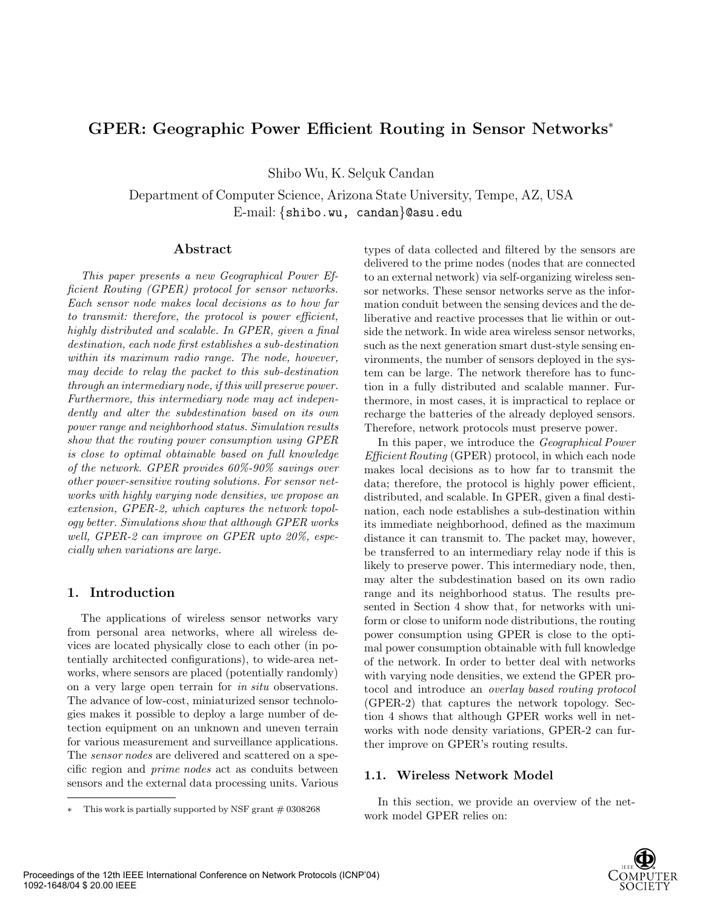# **GPER: Geographic Power Efficient Routing in Sensor Networks**<sup>∗</sup>

Shibo Wu, K. Selcuk Candan

Department of Computer Science, Arizona State University, Tempe, AZ, USA E-mail: {shibo.wu, candan}@asu.edu

### **Abstract**

This paper presents a new Geographical Power Efficient Routing (GPER) protocol for sensor networks. Each sensor node makes local decisions as to how far to transmit: therefore, the protocol is power efficient, highly distributed and scalable. In GPER, given a final destination, each node first establishes a sub-destination within its maximum radio range. The node, however, may decide to relay the packet to this sub-destination through an intermediary node, if this will preserve power. Furthermore, this intermediary node may act independently and alter the subdestination based on its own power range and neighborhood status. Simulation results show that the routing power consumption using GPER is close to optimal obtainable based on full knowledge of the network. GPER provides 60%-90% savings over other power-sensitive routing solutions. For sensor networks with highly varying node densities, we propose an extension, GPER-2, which captures the network topology better. Simulations show that although GPER works well, GPER-2 can improve on GPER upto 20%, especially when variations are large.

### **1. Introduction**

The applications of wireless sensor networks vary from personal area networks, where all wireless devices are located physically close to each other (in potentially architected configurations), to wide-area networks, where sensors are placed (potentially randomly) on a very large open terrain for in situ observations. The advance of low-cost, miniaturized sensor technologies makes it possible to deploy a large number of detection equipment on an unknown and uneven terrain for various measurement and surveillance applications. The sensor nodes are delivered and scattered on a specific region and prime nodes act as conduits between sensors and the external data processing units. Various

types of data collected and filtered by the sensors are delivered to the prime nodes (nodes that are connected to an external network) via self-organizing wireless sensor networks. These sensor networks serve as the information conduit between the sensing devices and the deliberative and reactive processes that lie within or outside the network. In wide area wireless sensor networks, such as the next generation smart dust-style sensing environments, the number of sensors deployed in the system can be large. The network therefore has to function in a fully distributed and scalable manner. Furthermore, in most cases, it is impractical to replace or recharge the batteries of the already deployed sensors. Therefore, network protocols must preserve power.

In this paper, we introduce the Geographical Power Efficient Routing (GPER) protocol, in which each node makes local decisions as to how far to transmit the data; therefore, the protocol is highly power efficient, distributed, and scalable. In GPER, given a final destination, each node establishes a sub-destination within its immediate neighborhood, defined as the maximum distance it can transmit to. The packet may, however, be transferred to an intermediary relay node if this is likely to preserve power. This intermediary node, then, may alter the subdestination based on its own radio range and its neighborhood status. The results presented in Section 4 show that, for networks with uniform or close to uniform node distributions, the routing power consumption using GPER is close to the optimal power consumption obtainable with full knowledge of the network. In order to better deal with networks with varying node densities, we extend the GPER protocol and introduce an overlay based routing protocol (GPER-2) that captures the network topology. Section 4 shows that although GPER works well in networks with node density variations, GPER-2 can further improve on GPER's routing results.

### **1.1. Wireless Network Model**

In this section, we provide an overview of the network model GPER relies on:



This work is partially supported by NSF grant  $\# 0308268$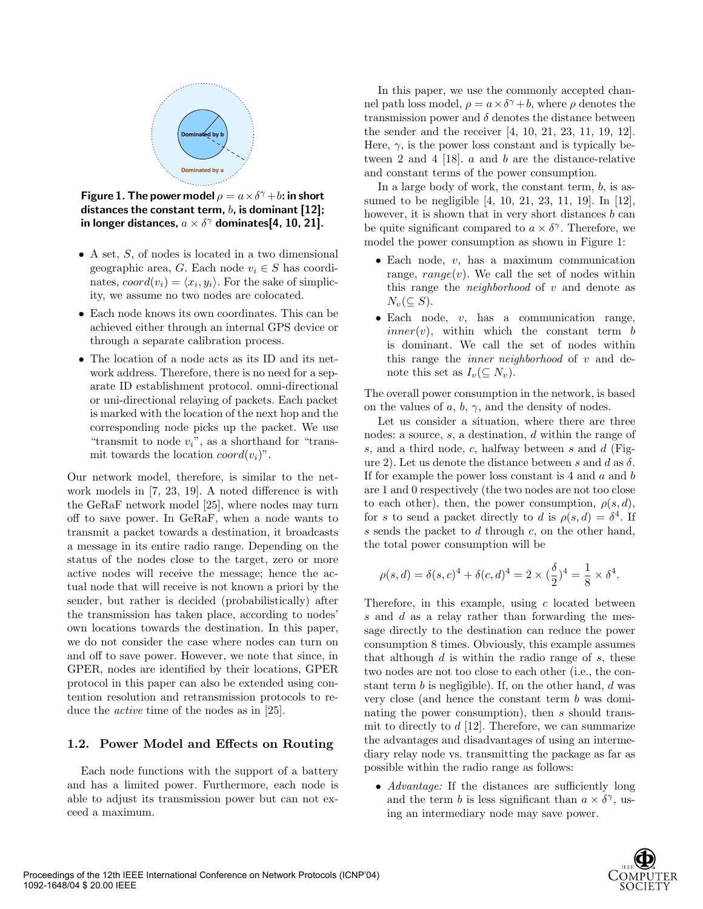

**Figure 1. The power model**  $\rho = a \times \delta^{\gamma} + b$ : in short **distances the constant term,** b**, is dominant [12];** in longer distances,  $a \times \delta^{\gamma}$  dominates [4, 10, 21].

- $\bullet$  A set,  $S$ , of nodes is located in a two dimensional geographic area, G. Each node  $v_i \in S$  has coordinates,  $coord(v_i) = \langle x_i, y_i \rangle$ . For the sake of simplicity, we assume no two nodes are colocated.
- Each node knows its own coordinates. This can be achieved either through an internal GPS device or through a separate calibration process.
- The location of a node acts as its ID and its network address. Therefore, there is no need for a separate ID establishment protocol. omni-directional or uni-directional relaying of packets. Each packet is marked with the location of the next hop and the corresponding node picks up the packet. We use "transmit to node  $v_i$ ", as a shorthand for "transmit towards the location  $coord(v_i)$ ".

Our network model, therefore, is similar to the network models in [7, 23, 19]. A noted difference is with the GeRaF network model [25], where nodes may turn off to save power. In GeRaF, when a node wants to transmit a packet towards a destination, it broadcasts a message in its entire radio range. Depending on the status of the nodes close to the target, zero or more active nodes will receive the message; hence the actual node that will receive is not known a priori by the sender, but rather is decided (probabilistically) after the transmission has taken place, according to nodes' own locations towards the destination. In this paper, we do not consider the case where nodes can turn on and off to save power. However, we note that since, in GPER, nodes are identified by their locations, GPER protocol in this paper can also be extended using contention resolution and retransmission protocols to reduce the *active* time of the nodes as in [25].

#### **1.2. Power Model and Effects on Routing**

Each node functions with the support of a battery and has a limited power. Furthermore, each node is able to adjust its transmission power but can not exceed a maximum.

In this paper, we use the commonly accepted channel path loss model,  $\rho = a \times \delta^{\gamma} + b$ , where  $\rho$  denotes the transmission power and  $\delta$  denotes the distance between the sender and the receiver [4, 10, 21, 23, 11, 19, 12]. Here,  $\gamma$ , is the power loss constant and is typically between 2 and 4 [18].  $a$  and  $b$  are the distance-relative and constant terms of the power consumption.

In a large body of work, the constant term, b, is assumed to be negligible [4, 10, 21, 23, 11, 19]. In [12], however, it is shown that in very short distances  $b$  can be quite significant compared to  $a \times \delta^{\gamma}$ . Therefore, we model the power consumption as shown in Figure 1:

- $\bullet$  Each node,  $v$ , has a maximum communication range,  $range(v)$ . We call the set of nodes within this range the neighborhood of v and denote as  $N_v(\subseteq S)$ .
- Each node,  $v$ , has a communication range,  $inner(v)$ , within which the constant term b is dominant. We call the set of nodes within this range the *inner neighborhood* of  $v$  and denote this set as  $I_v(\subseteq N_v)$ .

The overall power consumption in the network, is based on the values of  $a, b, \gamma$ , and the density of nodes.

Let us consider a situation, where there are three nodes: a source, s, a destination, d within the range of s, and a third node, c, halfway between s and  $d$  (Figure 2). Let us denote the distance between s and d as  $\delta$ . If for example the power loss constant is  $4$  and  $a$  and  $b$ are 1 and 0 respectively (the two nodes are not too close to each other), then, the power consumption,  $\rho(s, d)$ , for s to send a packet directly to d is  $\rho(s, d) = \delta^4$ . If  $s$  sends the packet to  $d$  through  $c$ , on the other hand, the total power consumption will be

$$
\rho(s, d) = \delta(s, c)^{4} + \delta(c, d)^{4} = 2 \times (\frac{\delta}{2})^{4} = \frac{1}{8} \times \delta^{4}.
$$

Therefore, in this example, using  $c$  located between s and d as a relay rather than forwarding the message directly to the destination can reduce the power consumption 8 times. Obviously, this example assumes that although  $d$  is within the radio range of  $s$ , these two nodes are not too close to each other (i.e., the constant term  $b$  is negligible). If, on the other hand,  $d$  was very close (and hence the constant term b was dominating the power consumption), then  $s$  should transmit to directly to d [12]. Therefore, we can summarize the advantages and disadvantages of using an intermediary relay node vs. transmitting the package as far as possible within the radio range as follows:

• *Advantage:* If the distances are sufficiently long and the term b is less significant than  $a \times \delta^{\gamma}$ , using an intermediary node may save power.

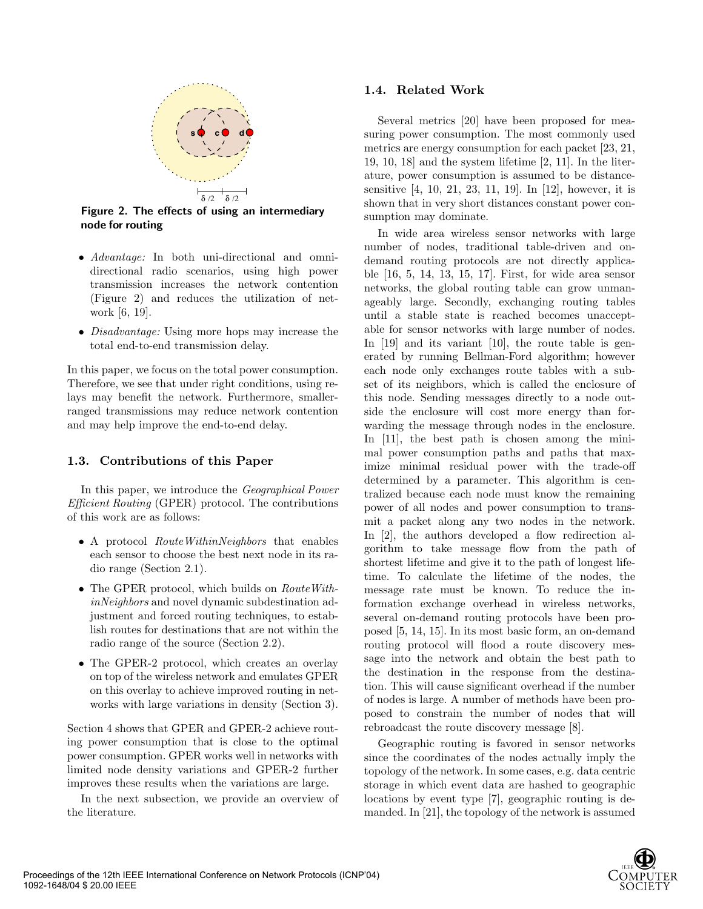

**Figure 2. The effects of using an intermediary node for routing**

- Advantage: In both uni-directional and omnidirectional radio scenarios, using high power transmission increases the network contention (Figure 2) and reduces the utilization of network [6, 19].
- *Disadvantage:* Using more hops may increase the total end-to-end transmission delay.

In this paper, we focus on the total power consumption. Therefore, we see that under right conditions, using relays may benefit the network. Furthermore, smallerranged transmissions may reduce network contention and may help improve the end-to-end delay.

### **1.3. Contributions of this Paper**

In this paper, we introduce the Geographical Power Efficient Routing (GPER) protocol. The contributions of this work are as follows:

- A protocol *RouteWithinNeighbors* that enables each sensor to choose the best next node in its radio range (Section 2.1).
- The GPER protocol, which builds on  $\textit{RouteWith-}$ inNeighbors and novel dynamic subdestination adjustment and forced routing techniques, to establish routes for destinations that are not within the radio range of the source (Section 2.2).
- The GPER-2 protocol, which creates an overlay on top of the wireless network and emulates GPER on this overlay to achieve improved routing in networks with large variations in density (Section 3).

Section 4 shows that GPER and GPER-2 achieve routing power consumption that is close to the optimal power consumption. GPER works well in networks with limited node density variations and GPER-2 further improves these results when the variations are large.

In the next subsection, we provide an overview of the literature.

### **1.4. Related Work**

Several metrics [20] have been proposed for measuring power consumption. The most commonly used metrics are energy consumption for each packet [23, 21, 19, 10, 18] and the system lifetime [2, 11]. In the literature, power consumption is assumed to be distancesensitive [4, 10, 21, 23, 11, 19]. In [12], however, it is shown that in very short distances constant power consumption may dominate.

In wide area wireless sensor networks with large number of nodes, traditional table-driven and ondemand routing protocols are not directly applicable [16, 5, 14, 13, 15, 17]. First, for wide area sensor networks, the global routing table can grow unmanageably large. Secondly, exchanging routing tables until a stable state is reached becomes unacceptable for sensor networks with large number of nodes. In [19] and its variant [10], the route table is generated by running Bellman-Ford algorithm; however each node only exchanges route tables with a subset of its neighbors, which is called the enclosure of this node. Sending messages directly to a node outside the enclosure will cost more energy than forwarding the message through nodes in the enclosure. In [11], the best path is chosen among the minimal power consumption paths and paths that maximize minimal residual power with the trade-off determined by a parameter. This algorithm is centralized because each node must know the remaining power of all nodes and power consumption to transmit a packet along any two nodes in the network. In [2], the authors developed a flow redirection algorithm to take message flow from the path of shortest lifetime and give it to the path of longest lifetime. To calculate the lifetime of the nodes, the message rate must be known. To reduce the information exchange overhead in wireless networks, several on-demand routing protocols have been proposed [5, 14, 15]. In its most basic form, an on-demand routing protocol will flood a route discovery message into the network and obtain the best path to the destination in the response from the destination. This will cause significant overhead if the number of nodes is large. A number of methods have been proposed to constrain the number of nodes that will rebroadcast the route discovery message [8].

Geographic routing is favored in sensor networks since the coordinates of the nodes actually imply the topology of the network. In some cases, e.g. data centric storage in which event data are hashed to geographic locations by event type [7], geographic routing is demanded. In [21], the topology of the network is assumed

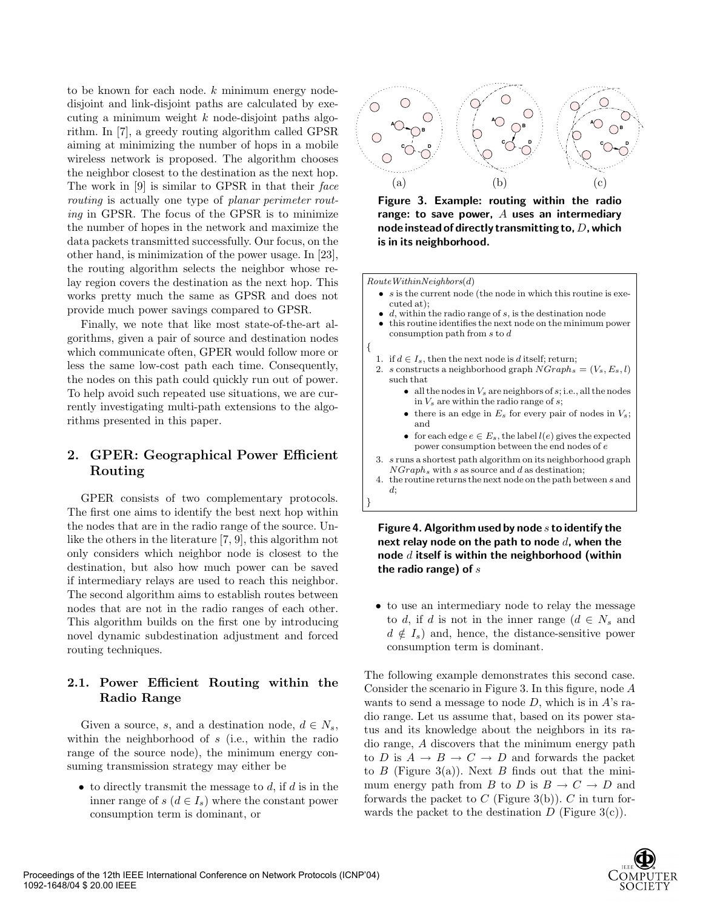to be known for each node.  $k$  minimum energy nodedisjoint and link-disjoint paths are calculated by executing a minimum weight  $k$  node-disjoint paths algorithm. In [7], a greedy routing algorithm called GPSR aiming at minimizing the number of hops in a mobile wireless network is proposed. The algorithm chooses the neighbor closest to the destination as the next hop. The work in [9] is similar to GPSR in that their face routing is actually one type of planar perimeter routing in GPSR. The focus of the GPSR is to minimize the number of hopes in the network and maximize the data packets transmitted successfully. Our focus, on the other hand, is minimization of the power usage. In [23], the routing algorithm selects the neighbor whose relay region covers the destination as the next hop. This works pretty much the same as GPSR and does not provide much power savings compared to GPSR.

Finally, we note that like most state-of-the-art algorithms, given a pair of source and destination nodes which communicate often, GPER would follow more or less the same low-cost path each time. Consequently, the nodes on this path could quickly run out of power. To help avoid such repeated use situations, we are currently investigating multi-path extensions to the algorithms presented in this paper.

## **2. GPER: Geographical Power Efficient Routing**

GPER consists of two complementary protocols. The first one aims to identify the best next hop within the nodes that are in the radio range of the source. Unlike the others in the literature [7, 9], this algorithm not only considers which neighbor node is closest to the destination, but also how much power can be saved if intermediary relays are used to reach this neighbor. The second algorithm aims to establish routes between nodes that are not in the radio ranges of each other. This algorithm builds on the first one by introducing novel dynamic subdestination adjustment and forced routing techniques.

## **2.1. Power Efficient Routing within the Radio Range**

Given a source, s, and a destination node,  $d \in N_s$ , within the neighborhood of  $s$  (i.e., within the radio range of the source node), the minimum energy consuming transmission strategy may either be

• to directly transmit the message to  $d$ , if  $d$  is in the inner range of  $s$   $(d \in I_s)$  where the constant power consumption term is dominant, or



**Figure 3. Example: routing within the radio range: to save power,** A **uses an intermediary node instead of directly transmitting to,** D**, which is in its neighborhood.**

RouteWithinNeighbors(*d*)

{

}

- *s* is the current node (the node in which this routine is executed at);
	- *d*, within the radio range of *s*, is the destination node
- this routine identifies the next node on the minimum power consumption path from *s* to *d*

1. if  $d \in I_s$ , then the next node is *d* itself; return;

- 2. *s* constructs a neighborhood graph  $NGraph_s = (V_s, E_s, l)$ such that
	- $\bullet$  all the nodes in  $V_s$  are neighbors of *s*; i.e., all the nodes in *V*s are within the radio range of *s*;
	- there is an edge in  $E_s$  for every pair of nodes in  $V_s$ ; and
	- for each edge  $e \in E_s$ , the label  $l(e)$  gives the expected power consumption between the end nodes of *e*
- 3. *s* runs a shortest path algorithm on its neighborhood graph *NGraph*s with *s* as source and *d* as destination; 4. the routine returns the next node on the path between *s* and
- *d*;

**Figure 4. Algorithm used by node** s **to identify the next relay node on the path to node** d**, when the node** d **itself is within the neighborhood (within the radio range) of** s

• to use an intermediary node to relay the message to d, if d is not in the inner range  $(d \in N_s$  and  $d \notin I_s$ ) and, hence, the distance-sensitive power consumption term is dominant.

The following example demonstrates this second case. Consider the scenario in Figure 3. In this figure, node A wants to send a message to node  $D$ , which is in  $A$ 's radio range. Let us assume that, based on its power status and its knowledge about the neighbors in its radio range, A discovers that the minimum energy path to D is  $A \rightarrow B \rightarrow C \rightarrow D$  and forwards the packet to  $B$  (Figure 3(a)). Next  $B$  finds out that the minimum energy path from B to D is  $B \to C \to D$  and forwards the packet to  $C$  (Figure 3(b)).  $C$  in turn forwards the packet to the destination  $D$  (Figure 3(c)).

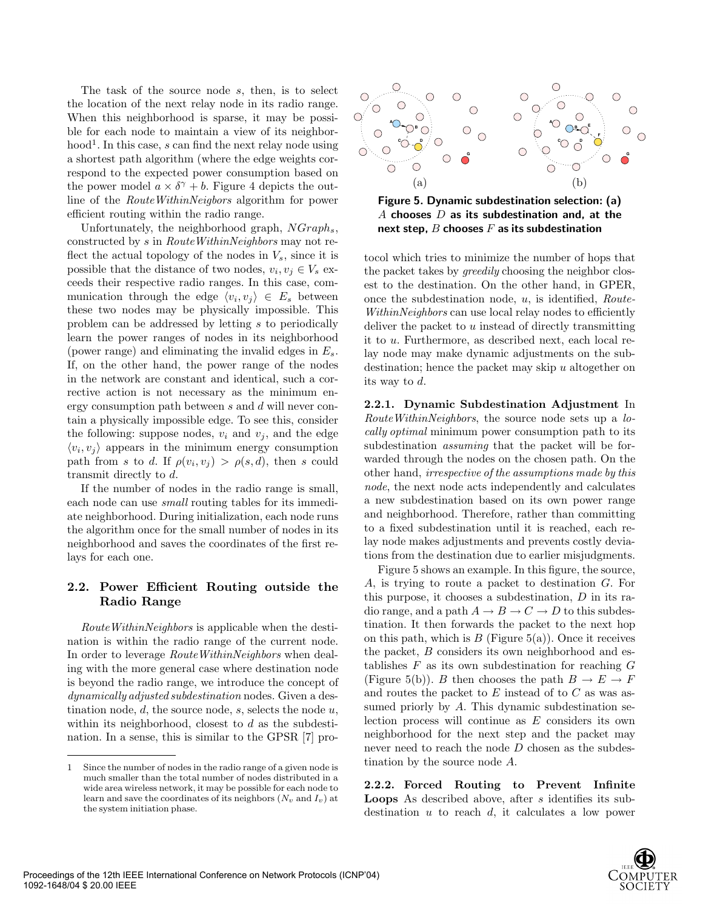The task of the source node s, then, is to select the location of the next relay node in its radio range. When this neighborhood is sparse, it may be possible for each node to maintain a view of its neighbor $hood<sup>1</sup>$ . In this case, s can find the next relay node using a shortest path algorithm (where the edge weights correspond to the expected power consumption based on the power model  $a \times \delta^{\gamma} + b$ . Figure 4 depicts the outline of the RouteWithinNeigbors algorithm for power efficient routing within the radio range.

Unfortunately, the neighborhood graph,  $NGraph_s$ , constructed by s in RouteWithinNeighbors may not reflect the actual topology of the nodes in  $V_s$ , since it is possible that the distance of two nodes,  $v_i, v_j \in V_s$  exceeds their respective radio ranges. In this case, communication through the edge  $\langle v_i, v_j \rangle \in E_s$  between these two nodes may be physically impossible. This problem can be addressed by letting s to periodically learn the power ranges of nodes in its neighborhood (power range) and eliminating the invalid edges in  $E_s$ . If, on the other hand, the power range of the nodes in the network are constant and identical, such a corrective action is not necessary as the minimum energy consumption path between s and d will never contain a physically impossible edge. To see this, consider the following: suppose nodes,  $v_i$  and  $v_j$ , and the edge  $\langle v_i, v_j \rangle$  appears in the minimum energy consumption path from s to d. If  $\rho(v_i, v_j) > \rho(s, d)$ , then s could transmit directly to d.

If the number of nodes in the radio range is small, each node can use small routing tables for its immediate neighborhood. During initialization, each node runs the algorithm once for the small number of nodes in its neighborhood and saves the coordinates of the first relays for each one.

### **2.2. Power Efficient Routing outside the Radio Range**

RouteWithinNeighbors is applicable when the destination is within the radio range of the current node. In order to leverage *RouteWithinNeighbors* when dealing with the more general case where destination node is beyond the radio range, we introduce the concept of dynamically adjusted subdestination nodes. Given a destination node,  $d$ , the source node,  $s$ , selects the node  $u$ , within its neighborhood, closest to  $d$  as the subdestination. In a sense, this is similar to the GPSR [7] pro-



**Figure 5. Dynamic subdestination selection: (a)** A **chooses** D **as its subdestination and, at the next step,** B **chooses** F **as its subdestination**

tocol which tries to minimize the number of hops that the packet takes by greedily choosing the neighbor closest to the destination. On the other hand, in GPER, once the subdestination node, u, is identified, Route-WithinNeighbors can use local relay nodes to efficiently deliver the packet to  $u$  instead of directly transmitting it to u. Furthermore, as described next, each local relay node may make dynamic adjustments on the subdestination; hence the packet may skip u altogether on its way to d.

**2.2.1. Dynamic Subdestination Adjustment** In RouteWithinNeighbors, the source node sets up a locally optimal minimum power consumption path to its subdestination assuming that the packet will be forwarded through the nodes on the chosen path. On the other hand, irrespective of the assumptions made by this node, the next node acts independently and calculates a new subdestination based on its own power range and neighborhood. Therefore, rather than committing to a fixed subdestination until it is reached, each relay node makes adjustments and prevents costly deviations from the destination due to earlier misjudgments.

Figure 5 shows an example. In this figure, the source, A, is trying to route a packet to destination G. For this purpose, it chooses a subdestination,  $D$  in its radio range, and a path  $A \to B \to C \to D$  to this subdestination. It then forwards the packet to the next hop on this path, which is  $B$  (Figure 5(a)). Once it receives the packet, B considers its own neighborhood and establishes  $F$  as its own subdestination for reaching  $G$ (Figure 5(b)). B then chooses the path  $B \to E \to F$ and routes the packet to  $E$  instead of to  $C$  as was assumed priorly by A. This dynamic subdestination selection process will continue as E considers its own neighborhood for the next step and the packet may never need to reach the node D chosen as the subdestination by the source node A.

**2.2.2. Forced Routing to Prevent Infinite** Loops As described above, after s identifies its subdestination  $u$  to reach  $d$ , it calculates a low power



<sup>1</sup> Since the number of nodes in the radio range of a given node is much smaller than the total number of nodes distributed in a wide area wireless network, it may be possible for each node to learn and save the coordinates of its neighbors  $(N_v \text{ and } I_v)$  at the system initiation phase.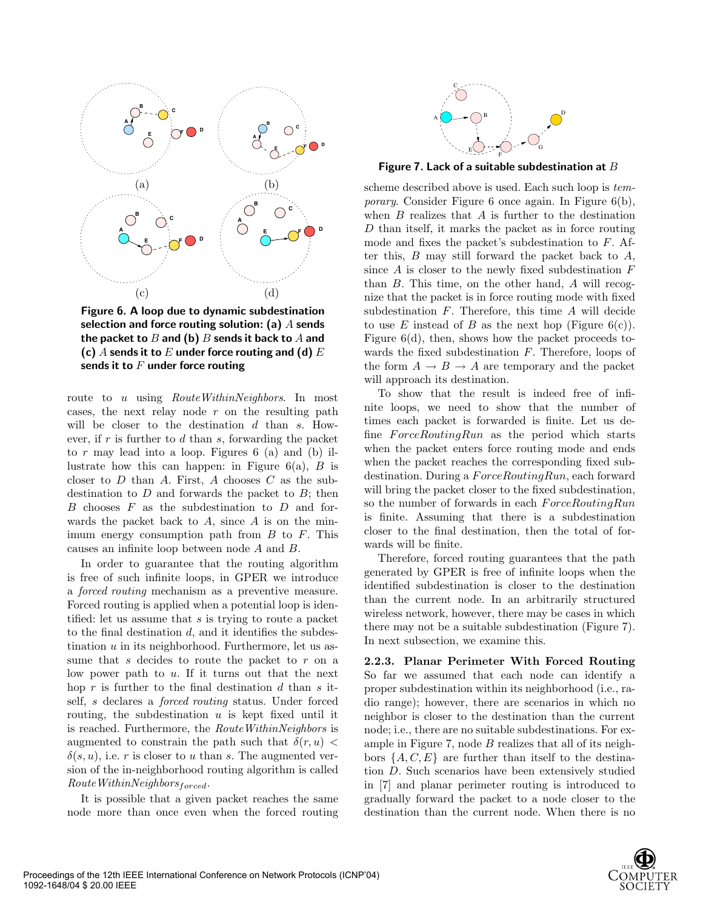

**Figure 6. A loop due to dynamic subdestination selection and force routing solution: (a)** A **sends the packet to** B **and (b)** B **sends it back to** A **and (c)** A **sends it to** E **under force routing and (d)** E **sends it to** F **under force routing**

route to u using RouteWithinNeighbors. In most cases, the next relay node  $r$  on the resulting path will be closer to the destination d than s. However, if r is further to d than s, forwarding the packet to  $r$  may lead into a loop. Figures  $6$  (a) and (b) illustrate how this can happen: in Figure  $6(a)$ , B is closer to  $D$  than  $A$ . First,  $A$  chooses  $C$  as the subdestination to  $D$  and forwards the packet to  $B$ ; then  $B$  chooses  $F$  as the subdestination to  $D$  and forwards the packet back to  $A$ , since  $A$  is on the minimum energy consumption path from  $B$  to  $F$ . This causes an infinite loop between node A and B.

In order to guarantee that the routing algorithm is free of such infinite loops, in GPER we introduce a forced routing mechanism as a preventive measure. Forced routing is applied when a potential loop is identified: let us assume that  $s$  is trying to route a packet to the final destination  $d$ , and it identifies the subdestination  $u$  in its neighborhood. Furthermore, let us assume that s decides to route the packet to  $r$  on a low power path to  $u$ . If it turns out that the next hop  $r$  is further to the final destination  $d$  than  $s$  itself, s declares a forced routing status. Under forced routing, the subdestination  $u$  is kept fixed until it is reached. Furthermore, the RouteWithinNeighbors is augmented to constrain the path such that  $\delta(r, u)$  $\delta(s, u)$ , i.e. r is closer to u than s. The augmented version of the in-neighborhood routing algorithm is called  $Route WithinNeighbors_{forced}.$ 

It is possible that a given packet reaches the same node more than once even when the forced routing



**Figure 7. Lack of a suitable subdestination at** B

scheme described above is used. Each such loop is temporary. Consider Figure 6 once again. In Figure 6(b), when  $B$  realizes that  $A$  is further to the destination D than itself, it marks the packet as in force routing mode and fixes the packet's subdestination to F. After this,  $B$  may still forward the packet back to  $A$ , since  $A$  is closer to the newly fixed subdestination  $F$ than B. This time, on the other hand, A will recognize that the packet is in force routing mode with fixed subdestination  $F$ . Therefore, this time  $A$  will decide to use E instead of B as the next hop (Figure  $6(c)$ ). Figure 6(d), then, shows how the packet proceeds towards the fixed subdestination  $F$ . Therefore, loops of the form  $A \to B \to A$  are temporary and the packet will approach its destination.

To show that the result is indeed free of infinite loops, we need to show that the number of times each packet is forwarded is finite. Let us define  $ForceRoutingRun$  as the period which starts when the packet enters force routing mode and ends when the packet reaches the corresponding fixed subdestination. During a ForceRoutingRun, each forward will bring the packet closer to the fixed subdestination, so the number of forwards in each  $ForceRoutingRun$ is finite. Assuming that there is a subdestination closer to the final destination, then the total of forwards will be finite.

Therefore, forced routing guarantees that the path generated by GPER is free of infinite loops when the identified subdestination is closer to the destination than the current node. In an arbitrarily structured wireless network, however, there may be cases in which there may not be a suitable subdestination (Figure 7). In next subsection, we examine this.

**2.2.3. Planar Perimeter With Forced Routing** So far we assumed that each node can identify a proper subdestination within its neighborhood (i.e., radio range); however, there are scenarios in which no neighbor is closer to the destination than the current node; i.e., there are no suitable subdestinations. For example in Figure 7, node  $B$  realizes that all of its neighbors  $\{A, C, E\}$  are further than itself to the destination D. Such scenarios have been extensively studied in [7] and planar perimeter routing is introduced to gradually forward the packet to a node closer to the destination than the current node. When there is no

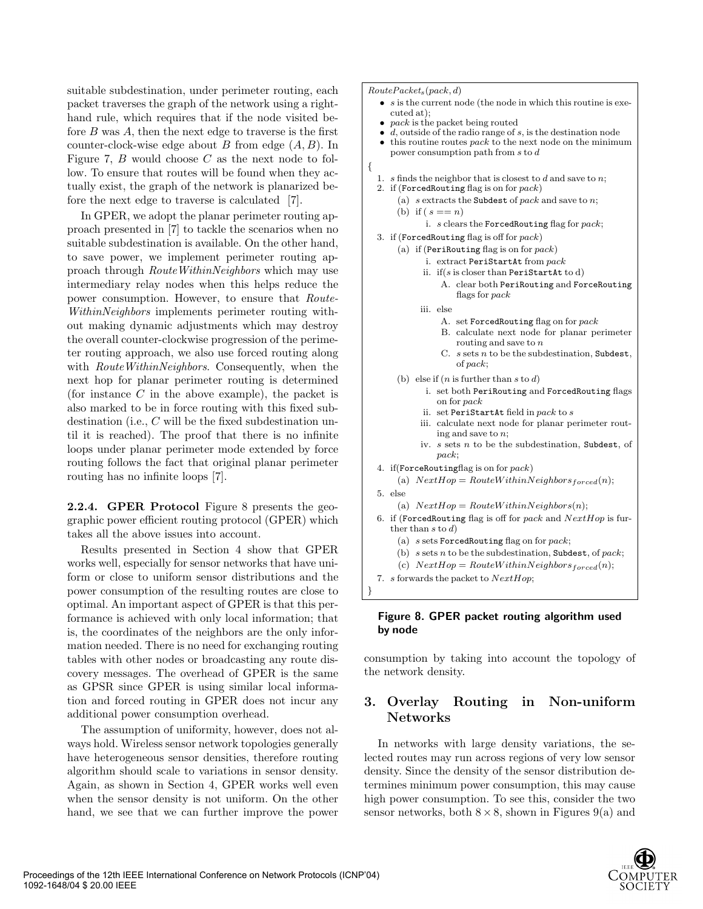suitable subdestination, under perimeter routing, each packet traverses the graph of the network using a righthand rule, which requires that if the node visited before  $B$  was  $A$ , then the next edge to traverse is the first counter-clock-wise edge about B from edge  $(A, B)$ . In Figure 7,  $B$  would choose  $C$  as the next node to follow. To ensure that routes will be found when they actually exist, the graph of the network is planarized before the next edge to traverse is calculated [7].

In GPER, we adopt the planar perimeter routing approach presented in [7] to tackle the scenarios when no suitable subdestination is available. On the other hand, to save power, we implement perimeter routing approach through RouteWithinNeighbors which may use intermediary relay nodes when this helps reduce the power consumption. However, to ensure that Route-WithinNeighbors implements perimeter routing without making dynamic adjustments which may destroy the overall counter-clockwise progression of the perimeter routing approach, we also use forced routing along with RouteWithinNeighbors. Consequently, when the next hop for planar perimeter routing is determined (for instance  $C$  in the above example), the packet is also marked to be in force routing with this fixed subdestination (i.e., C will be the fixed subdestination until it is reached). The proof that there is no infinite loops under planar perimeter mode extended by force routing follows the fact that original planar perimeter routing has no infinite loops [7].

**2.2.4. GPER Protocol** Figure 8 presents the geographic power efficient routing protocol (GPER) which takes all the above issues into account.

Results presented in Section 4 show that GPER works well, especially for sensor networks that have uniform or close to uniform sensor distributions and the power consumption of the resulting routes are close to optimal. An important aspect of GPER is that this performance is achieved with only local information; that is, the coordinates of the neighbors are the only information needed. There is no need for exchanging routing tables with other nodes or broadcasting any route discovery messages. The overhead of GPER is the same as GPSR since GPER is using similar local information and forced routing in GPER does not incur any additional power consumption overhead.

The assumption of uniformity, however, does not always hold. Wireless sensor network topologies generally have heterogeneous sensor densities, therefore routing algorithm should scale to variations in sensor density. Again, as shown in Section 4, GPER works well even when the sensor density is not uniform. On the other hand, we see that we can further improve the power

```
RoutePackets(pack, d)
  • s is the current node (the node in which this routine is exe-
     cuted at);
  • pack is the packet being routed
     • d, outside of the radio range of s, is the destination node
     • this routine routes pack to the next node on the minimum
     power consumption path from s to d
{
  1. s finds the neighbor that is closest to d and save to n;
  2. if (ForcedRouting flag is on for pack)
       (a) s extracts the Subdest of pack and save to n;
      (b) if (s == n)i. s clears the ForcedRouting flag for pack;
  3. if (ForcedRouting flag is off for pack)
       (a) if (PeriRouting flag is on for pack)
             i. extract PeriStartAt from pack
             ii. if(s is closer than PeriStartAt to d)
                 A. clear both PeriRouting and ForceRouting
                     flags for pack
            iii. else
                 A. set ForcedRouting flag on for pack
                 B. calculate next node for planar perimeter
                     routing and save to n
                 C. s sets n to be the subdestination, Subdest,
                     of pack;
      (b) else if (n is further than s to d)
             i. set both PeriRouting and ForcedRouting flags
                on for pack
             ii. set PeriStartAt field in pack to s
            iii. calculate next node for planar perimeter rout-
                ing and save to n;
            iv. s sets n to be the subdestination, Subdest, of
                pack;
  4. if(ForceRoutingflag is on for pack)
       (a) NextHop = RouteWithinNeighbors_{forced}(n);5. else
       (a) NextHop = RouteWithinNeighbors(n);6. if (ForcedRouting flag is off for pack and NextHop is fur-
     ther than s to d)
       (a) s sets ForcedRouting flag on for pack;
      (b) s sets n to be the subdestination, Subdest, of pack;
       (c) NextHop = RouteWithinNeighbors_{forced}(n);7. s forwards the packet to NextHop;
}
```
### **Figure 8. GPER packet routing algorithm used by node**

consumption by taking into account the topology of the network density.

## **3. Overlay Routing in Non-uniform Networks**

In networks with large density variations, the selected routes may run across regions of very low sensor density. Since the density of the sensor distribution determines minimum power consumption, this may cause high power consumption. To see this, consider the two sensor networks, both  $8 \times 8$ , shown in Figures 9(a) and

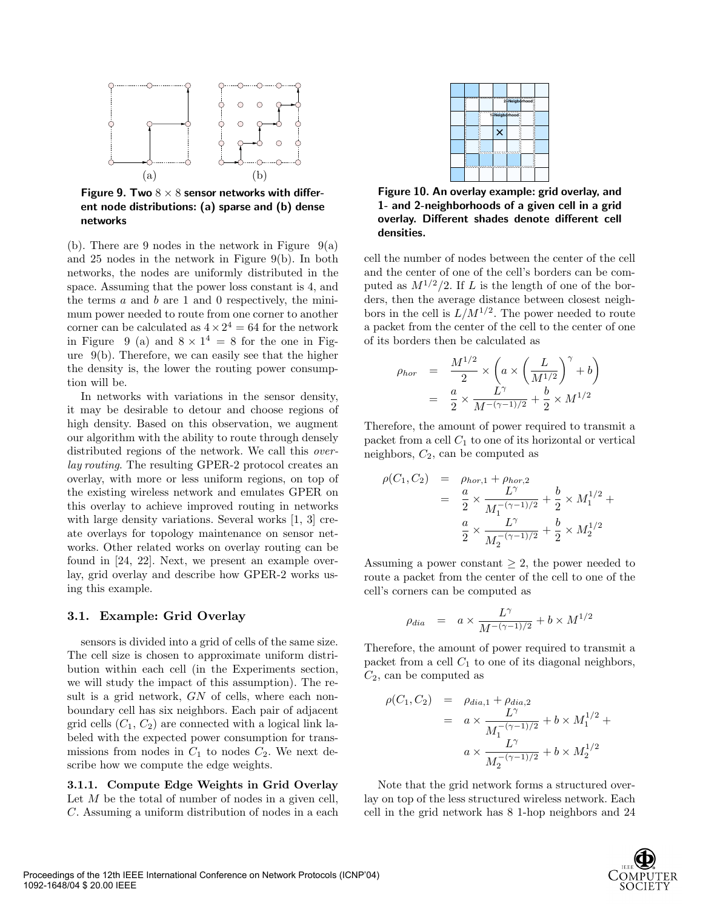

**Figure 9. Two** 8 × 8 **sensor networks with different node distributions: (a) sparse and (b) dense networks**

(b). There are 9 nodes in the network in Figure  $9(a)$ and 25 nodes in the network in Figure 9(b). In both networks, the nodes are uniformly distributed in the space. Assuming that the power loss constant is 4, and the terms  $a$  and  $b$  are 1 and 0 respectively, the minimum power needed to route from one corner to another corner can be calculated as  $4 \times 2^4 = 64$  for the network in Figure 9 (a) and  $8 \times 1^4 = 8$  for the one in Figure 9(b). Therefore, we can easily see that the higher the density is, the lower the routing power consumption will be.

In networks with variations in the sensor density, it may be desirable to detour and choose regions of high density. Based on this observation, we augment our algorithm with the ability to route through densely distributed regions of the network. We call this *over*lay routing. The resulting GPER-2 protocol creates an overlay, with more or less uniform regions, on top of the existing wireless network and emulates GPER on this overlay to achieve improved routing in networks with large density variations. Several works [1, 3] create overlays for topology maintenance on sensor networks. Other related works on overlay routing can be found in [24, 22]. Next, we present an example overlay, grid overlay and describe how GPER-2 works using this example.

#### **3.1. Example: Grid Overlay**

sensors is divided into a grid of cells of the same size. The cell size is chosen to approximate uniform distribution within each cell (in the Experiments section, we will study the impact of this assumption). The result is a grid network, GN of cells, where each nonboundary cell has six neighbors. Each pair of adjacent grid cells  $(C_1, C_2)$  are connected with a logical link labeled with the expected power consumption for transmissions from nodes in  $C_1$  to nodes  $C_2$ . We next describe how we compute the edge weights.

**3.1.1. Compute Edge Weights in Grid Overlay** Let  $M$  be the total of number of nodes in a given cell, C. Assuming a uniform distribution of nodes in a each



**Figure 10. An overlay example: grid overlay, and 1- and 2-neighborhoods of a given cell in a grid overlay. Different shades denote different cell densities.**

cell the number of nodes between the center of the cell and the center of one of the cell's borders can be computed as  $M^{1/2}/2$ . If L is the length of one of the borders, then the average distance between closest neighbors in the cell is  $L/M^{1/2}$ . The power needed to route a packet from the center of the cell to the center of one of its borders then be calculated as

$$
\rho_{hor} = \frac{M^{1/2}}{2} \times \left( a \times \left( \frac{L}{M^{1/2}} \right)^{\gamma} + b \right)
$$

$$
= \frac{a}{2} \times \frac{L^{\gamma}}{M^{-(\gamma - 1)/2}} + \frac{b}{2} \times M^{1/2}
$$

Therefore, the amount of power required to transmit a packet from a cell  $C_1$  to one of its horizontal or vertical neighbors,  $C_2$ , can be computed as

$$
\rho(C_1, C_2) = \rho_{hor,1} + \rho_{hor,2}
$$
  
= 
$$
\frac{a}{2} \times \frac{L^{\gamma}}{M_1^{-(\gamma - 1)/2}} + \frac{b}{2} \times M_1^{1/2} + \frac{a}{2} \times \frac{L^{\gamma}}{M_2^{-(\gamma - 1)/2}} + \frac{b}{2} \times M_2^{1/2}
$$

Assuming a power constant  $\geq 2$ , the power needed to route a packet from the center of the cell to one of the cell's corners can be computed as

$$
\rho_{dia} = a \times \frac{L^{\gamma}}{M^{-(\gamma - 1)/2}} + b \times M^{1/2}
$$

Therefore, the amount of power required to transmit a packet from a cell  $C_1$  to one of its diagonal neighbors,  $C_2$ , can be computed as

$$
\rho(C_1, C_2) = \rho_{dia,1} + \rho_{dia,2}
$$
  
=  $a \times \frac{L^{\gamma}}{M_1^{-(\gamma - 1)/2}} + b \times M_1^{1/2} +$   
 $a \times \frac{L^{\gamma}}{M_2^{-(\gamma - 1)/2}} + b \times M_2^{1/2}$ 

Note that the grid network forms a structured overlay on top of the less structured wireless network. Each cell in the grid network has 8 1-hop neighbors and 24

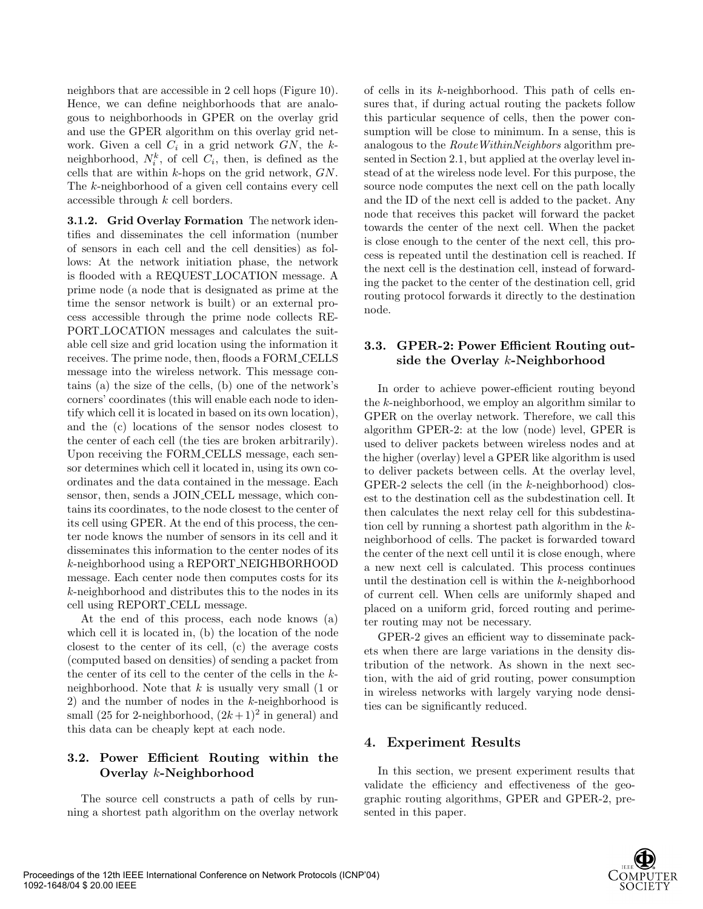neighbors that are accessible in 2 cell hops (Figure 10). Hence, we can define neighborhoods that are analogous to neighborhoods in GPER on the overlay grid and use the GPER algorithm on this overlay grid network. Given a cell  $C_i$  in a grid network  $GN$ , the kneighborhood,  $N_i^k$ , of cell  $C_i$ , then, is defined as the cells that are within  $k$ -hops on the grid network,  $GN$ . The k-neighborhood of a given cell contains every cell accessible through k cell borders.

**3.1.2. Grid Overlay Formation** The network identifies and disseminates the cell information (number of sensors in each cell and the cell densities) as follows: At the network initiation phase, the network is flooded with a REQUEST LOCATION message. A prime node (a node that is designated as prime at the time the sensor network is built) or an external process accessible through the prime node collects RE-PORT LOCATION messages and calculates the suitable cell size and grid location using the information it receives. The prime node, then, floods a FORM CELLS message into the wireless network. This message contains (a) the size of the cells, (b) one of the network's corners' coordinates (this will enable each node to identify which cell it is located in based on its own location), and the (c) locations of the sensor nodes closest to the center of each cell (the ties are broken arbitrarily). Upon receiving the FORM CELLS message, each sensor determines which cell it located in, using its own coordinates and the data contained in the message. Each sensor, then, sends a JOIN CELL message, which contains its coordinates, to the node closest to the center of its cell using GPER. At the end of this process, the center node knows the number of sensors in its cell and it disseminates this information to the center nodes of its k-neighborhood using a REPORT NEIGHBORHOOD message. Each center node then computes costs for its k-neighborhood and distributes this to the nodes in its cell using REPORT CELL message.

At the end of this process, each node knows (a) which cell it is located in, (b) the location of the node closest to the center of its cell, (c) the average costs (computed based on densities) of sending a packet from the center of its cell to the center of the cells in the kneighborhood. Note that  $k$  is usually very small  $(1 \text{ or }$ 2) and the number of nodes in the  $k$ -neighborhood is small (25 for 2-neighborhood,  $(2k+1)^2$  in general) and this data can be cheaply kept at each node.

## **3.2. Power Efficient Routing within the Overlay** k**-Neighborhood**

The source cell constructs a path of cells by running a shortest path algorithm on the overlay network of cells in its k-neighborhood. This path of cells ensures that, if during actual routing the packets follow this particular sequence of cells, then the power consumption will be close to minimum. In a sense, this is analogous to the *RouteWithinNeighbors* algorithm presented in Section 2.1, but applied at the overlay level instead of at the wireless node level. For this purpose, the source node computes the next cell on the path locally and the ID of the next cell is added to the packet. Any node that receives this packet will forward the packet towards the center of the next cell. When the packet is close enough to the center of the next cell, this process is repeated until the destination cell is reached. If the next cell is the destination cell, instead of forwarding the packet to the center of the destination cell, grid routing protocol forwards it directly to the destination node.

### **3.3. GPER-2: Power Efficient Routing outside the Overlay** k**-Neighborhood**

In order to achieve power-efficient routing beyond the k-neighborhood, we employ an algorithm similar to GPER on the overlay network. Therefore, we call this algorithm GPER-2: at the low (node) level, GPER is used to deliver packets between wireless nodes and at the higher (overlay) level a GPER like algorithm is used to deliver packets between cells. At the overlay level, GPER-2 selects the cell (in the  $k$ -neighborhood) closest to the destination cell as the subdestination cell. It then calculates the next relay cell for this subdestination cell by running a shortest path algorithm in the kneighborhood of cells. The packet is forwarded toward the center of the next cell until it is close enough, where a new next cell is calculated. This process continues until the destination cell is within the k-neighborhood of current cell. When cells are uniformly shaped and placed on a uniform grid, forced routing and perimeter routing may not be necessary.

GPER-2 gives an efficient way to disseminate packets when there are large variations in the density distribution of the network. As shown in the next section, with the aid of grid routing, power consumption in wireless networks with largely varying node densities can be significantly reduced.

## **4. Experiment Results**

In this section, we present experiment results that validate the efficiency and effectiveness of the geographic routing algorithms, GPER and GPER-2, presented in this paper.

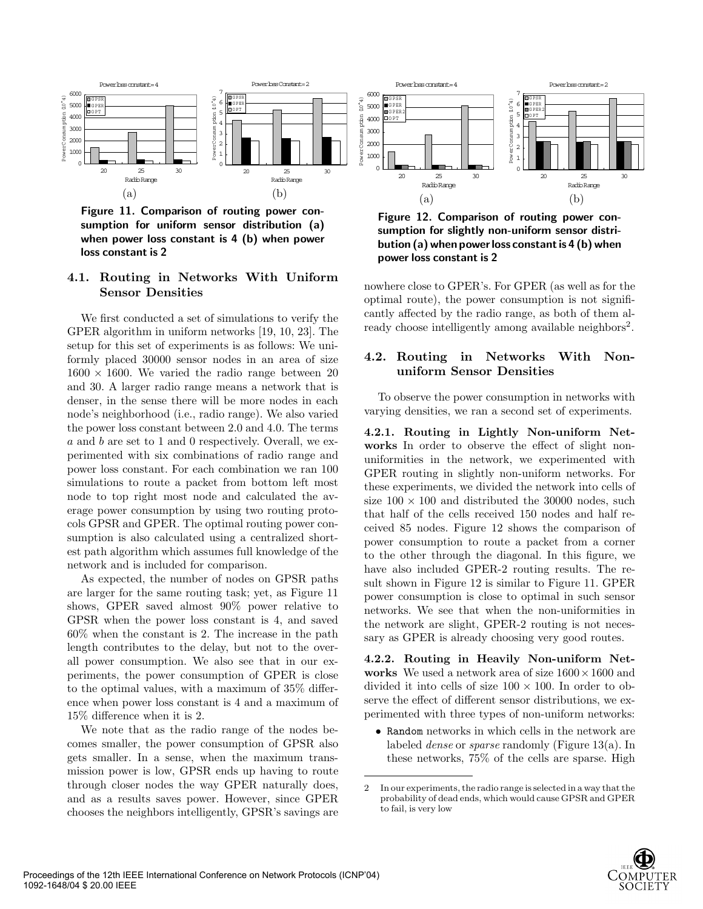

**Figure 11. Comparison of routing power consumption for uniform sensor distribution (a) when power loss constant is 4 (b) when power loss constant is 2**

### **4.1. Routing in Networks With Uniform Sensor Densities**

We first conducted a set of simulations to verify the GPER algorithm in uniform networks [19, 10, 23]. The setup for this set of experiments is as follows: We uniformly placed 30000 sensor nodes in an area of size  $1600 \times 1600$ . We varied the radio range between 20 and 30. A larger radio range means a network that is denser, in the sense there will be more nodes in each node's neighborhood (i.e., radio range). We also varied the power loss constant between 2.0 and 4.0. The terms a and b are set to 1 and 0 respectively. Overall, we experimented with six combinations of radio range and power loss constant. For each combination we ran 100 simulations to route a packet from bottom left most node to top right most node and calculated the average power consumption by using two routing protocols GPSR and GPER. The optimal routing power consumption is also calculated using a centralized shortest path algorithm which assumes full knowledge of the network and is included for comparison.

As expected, the number of nodes on GPSR paths are larger for the same routing task; yet, as Figure 11 shows, GPER saved almost 90% power relative to GPSR when the power loss constant is 4, and saved 60% when the constant is 2. The increase in the path length contributes to the delay, but not to the overall power consumption. We also see that in our experiments, the power consumption of GPER is close to the optimal values, with a maximum of 35% difference when power loss constant is 4 and a maximum of 15% difference when it is 2.

We note that as the radio range of the nodes becomes smaller, the power consumption of GPSR also gets smaller. In a sense, when the maximum transmission power is low, GPSR ends up having to route through closer nodes the way GPER naturally does, and as a results saves power. However, since GPER chooses the neighbors intelligently, GPSR's savings are



**Figure 12. Comparison of routing power consumption for slightly non-uniform sensor distribution (a) when power loss constant is 4 (b) when power loss constant is 2**

nowhere close to GPER's. For GPER (as well as for the optimal route), the power consumption is not significantly affected by the radio range, as both of them already choose intelligently among available neighbors<sup>2</sup>.

### **4.2. Routing in Networks With Nonuniform Sensor Densities**

To observe the power consumption in networks with varying densities, we ran a second set of experiments.

**4.2.1. Routing in Lightly Non-uniform Networks** In order to observe the effect of slight nonuniformities in the network, we experimented with GPER routing in slightly non-uniform networks. For these experiments, we divided the network into cells of size  $100 \times 100$  and distributed the 30000 nodes, such that half of the cells received 150 nodes and half received 85 nodes. Figure 12 shows the comparison of power consumption to route a packet from a corner to the other through the diagonal. In this figure, we have also included GPER-2 routing results. The result shown in Figure 12 is similar to Figure 11. GPER power consumption is close to optimal in such sensor networks. We see that when the non-uniformities in the network are slight, GPER-2 routing is not necessary as GPER is already choosing very good routes.

**4.2.2. Routing in Heavily Non-uniform Networks** We used a network area of size  $1600 \times 1600$  and divided it into cells of size  $100 \times 100$ . In order to observe the effect of different sensor distributions, we experimented with three types of non-uniform networks:

• Random networks in which cells in the network are labeled dense or sparse randomly (Figure 13(a). In these networks, 75% of the cells are sparse. High

<sup>2</sup> In our experiments, the radio range is selected in a way that the probability of dead ends, which would cause GPSR and GPER to fail, is very low

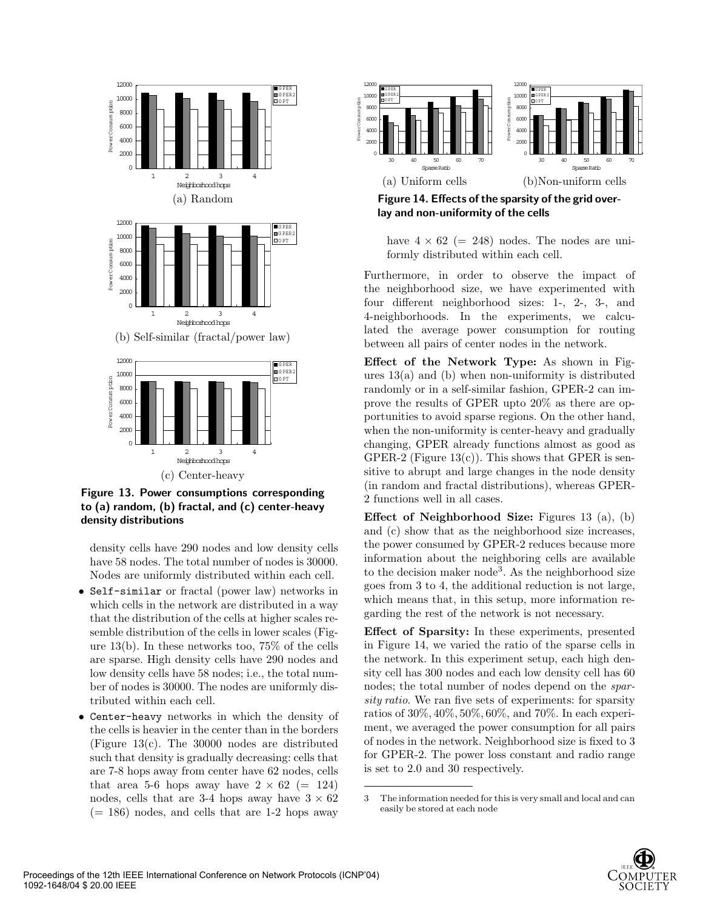

**Figure 13. Power consumptions corresponding to (a) random, (b) fractal, and (c) center-heavy density distributions**

density cells have 290 nodes and low density cells have 58 nodes. The total number of nodes is 30000. Nodes are uniformly distributed within each cell.

- Self-similar or fractal (power law) networks in which cells in the network are distributed in a way that the distribution of the cells at higher scales resemble distribution of the cells in lower scales (Figure 13(b). In these networks too, 75% of the cells are sparse. High density cells have 290 nodes and low density cells have 58 nodes; i.e., the total number of nodes is 30000. The nodes are uniformly distributed within each cell.
- Center-heavy networks in which the density of the cells is heavier in the center than in the borders (Figure 13(c). The 30000 nodes are distributed such that density is gradually decreasing: cells that are 7-8 hops away from center have 62 nodes, cells that area 5-6 hops away have  $2 \times 62 (= 124)$ nodes, cells that are 3-4 hops away have  $3 \times 62$  $(= 186)$  nodes, and cells that are 1-2 hops away



**Figure 14. Effects of the sparsity of the grid overlay and non-uniformity of the cells**

have  $4 \times 62$  (= 248) nodes. The nodes are uniformly distributed within each cell.

Furthermore, in order to observe the impact of the neighborhood size, we have experimented with four different neighborhood sizes: 1-, 2-, 3-, and 4-neighborhoods. In the experiments, we calculated the average power consumption for routing between all pairs of center nodes in the network.

**Effect of the Network Type:** As shown in Figures  $13(a)$  and (b) when non-uniformity is distributed randomly or in a self-similar fashion, GPER-2 can improve the results of GPER upto 20% as there are opportunities to avoid sparse regions. On the other hand, when the non-uniformity is center-heavy and gradually changing, GPER already functions almost as good as GPER-2 (Figure 13(c)). This shows that GPER is sensitive to abrupt and large changes in the node density (in random and fractal distributions), whereas GPER-2 functions well in all cases.

**Effect of Neighborhood Size:** Figures 13 (a), (b) and (c) show that as the neighborhood size increases, the power consumed by GPER-2 reduces because more information about the neighboring cells are available to the decision maker node<sup>3</sup>. As the neighborhood size goes from 3 to 4, the additional reduction is not large, which means that, in this setup, more information regarding the rest of the network is not necessary.

**Effect of Sparsity:** In these experiments, presented in Figure 14, we varied the ratio of the sparse cells in the network. In this experiment setup, each high density cell has 300 nodes and each low density cell has 60 nodes; the total number of nodes depend on the sparsity ratio. We ran five sets of experiments: for sparsity ratios of 30%, 40%, 50%, 60%, and 70%. In each experiment, we averaged the power consumption for all pairs of nodes in the network. Neighborhood size is fixed to 3 for GPER-2. The power loss constant and radio range is set to 2.0 and 30 respectively.

<sup>3</sup> The information needed for this is very small and local and can easily be stored at each node